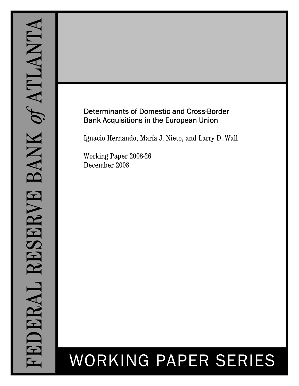# Determinants of Domestic and Cross-Border Bank Acquisitions in the European Union

Ignacio Hernando, María J. Nieto, and Larry D. Wall

Working Paper 2008-26 December 2008

# WORKING PAPER SERIES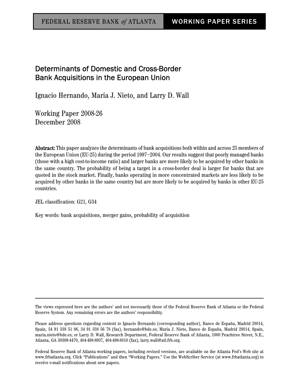# Determinants of Domestic and Cross-Border Bank Acquisitions in the European Union

Ignacio Hernando, María J. Nieto, and Larry D. Wall

Working Paper 2008-26 December 2008

Abstract: This paper analyzes the determinants of bank acquisitions both within and across 25 members of the European Union (EU-25) during the period 1997–2004. Our results suggest that poorly managed banks (those with a high cost-to-income ratio) and larger banks are more likely to be acquired by other banks in the same country. The probability of being a target in a cross-border deal is larger for banks that are quoted in the stock market. Finally, banks operating in more concentrated markets are less likely to be acquired by other banks in the same country but are more likely to be acquired by banks in other EU-25 countries.

JEL classification: G21, G34

Key words: bank acquisitions, merger gains, probability of acquisition

The views expressed here are the authors' and not necessarily those of the Federal Reserve Bank of Atlanta or the Federal Reserve System. Any remaining errors are the authors' responsibility.

Please address questions regarding content to Ignacio Hernando (corresponding author), Banco de España, Madrid 28014, Spain, 34 91 338 51 86, 34 91 338 56 78 (fax), hernando@bde.es; María J. Nieto, Banco de España, Madrid 28014, Spain, maria.nieto@bde.es; or Larry D. Wall, Research Department, Federal Reserve Bank of Atlanta, 1000 Peachtree Street, N.E., Atlanta, GA 30309-4470, 404-498-8937, 404-498-8810 (fax), larry.wall@atl.frb.org.

Federal Reserve Bank of Atlanta working papers, including revised versions, are available on the Atlanta Fed's Web site at www.frbatlanta.org. Click "Publications" and then "Working Papers." Use the WebScriber Service (at www.frbatlanta.org) to receive e-mail notifications about new papers.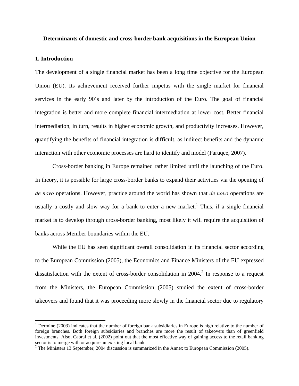#### **Determinants of domestic and cross-border bank acquisitions in the European Union**

#### **1. Introduction**

 $\overline{a}$ 

The development of a single financial market has been a long time objective for the European Union (EU). Its achievement received further impetus with the single market for financial services in the early 90´s and later by the introduction of the Euro. The goal of financial integration is better and more complete financial intermediation at lower cost. Better financial intermediation, in turn, results in higher economic growth, and productivity increases. However, quantifying the benefits of financial integration is difficult, as indirect benefits and the dynamic interaction with other economic processes are hard to identify and model (Faruqee, 2007).

Cross-border banking in Europe remained rather limited until the launching of the Euro. In theory, it is possible for large cross-border banks to expand their activities via the opening of *de novo* operations. However, practice around the world has shown that *de novo* operations are usually a costly and slow way for a bank to enter a new market.<sup>1</sup> Thus, if a single financial market is to develop through cross-border banking, most likely it will require the acquisition of banks across Member boundaries within the EU.

While the EU has seen significant overall consolidation in its financial sector according to the European Commission (2005), the Economics and Finance Ministers of the EU expressed dissatisfaction with the extent of cross-border consolidation in  $2004$ <sup>2</sup>. In response to a request from the Ministers, the European Commission (2005) studied the extent of cross-border takeovers and found that it was proceeding more slowly in the financial sector due to regulatory

<sup>&</sup>lt;sup>1</sup> Dermine (2003) indicates that the number of foreign bank subsidiaries in Europe is high relative to the number of foreign branches. Both foreign subsidiaries and branches are more the result of takeovers than of greenfield investments. Also, Cabral et al. (2002) point out that the most effective way of gaining access to the retail banking sector is to merge with or acquire an existing local bank.

 $2^2$  The Ministers 13 September, 2004 discussion is summarized in the Annex to European Commission (2005).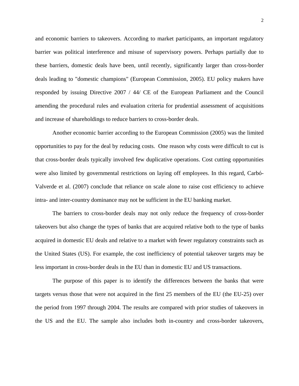and economic barriers to takeovers. According to market participants, an important regulatory barrier was political interference and misuse of supervisory powers. Perhaps partially due to these barriers, domestic deals have been, until recently, significantly larger than cross-border deals leading to "domestic champions" (European Commission, 2005). EU policy makers have responded by issuing Directive 2007 / 44/ CE of the European Parliament and the Council amending the procedural rules and evaluation criteria for prudential assessment of acquisitions and increase of shareholdings to reduce barriers to cross-border deals.

 Another economic barrier according to the European Commission (2005) was the limited opportunities to pay for the deal by reducing costs. One reason why costs were difficult to cut is that cross-border deals typically involved few duplicative operations. Cost cutting opportunities were also limited by governmental restrictions on laying off employees. In this regard, Carbó-Valverde et al. (2007) conclude that reliance on scale alone to raise cost efficiency to achieve intra- and inter-country dominance may not be sufficient in the EU banking market.

 The barriers to cross-border deals may not only reduce the frequency of cross-border takeovers but also change the types of banks that are acquired relative both to the type of banks acquired in domestic EU deals and relative to a market with fewer regulatory constraints such as the United States (US). For example, the cost inefficiency of potential takeover targets may be less important in cross-border deals in the EU than in domestic EU and US transactions.

 The purpose of this paper is to identify the differences between the banks that were targets versus those that were not acquired in the first 25 members of the EU (the EU-25) over the period from 1997 through 2004. The results are compared with prior studies of takeovers in the US and the EU. The sample also includes both in-country and cross-border takeovers,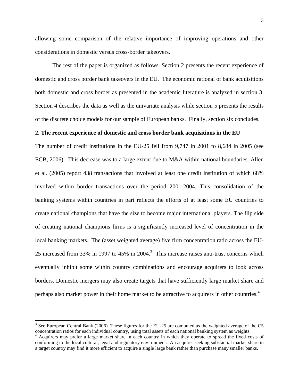allowing some comparison of the relative importance of improving operations and other considerations in domestic versus cross-border takeovers.

 The rest of the paper is organized as follows. Section 2 presents the recent experience of domestic and cross border bank takeovers in the EU. The economic rational of bank acquisitions both domestic and cross border as presented in the academic literature is analyzed in section 3. Section 4 describes the data as well as the univariate analysis while section 5 presents the results of the discrete choice models for our sample of European banks. Finally, section six concludes.

#### **2. The recent experience of domestic and cross border bank acquisitions in the EU**

The number of credit institutions in the EU-25 fell from 9,747 in 2001 to 8,684 in 2005 (see ECB, 2006). This decrease was to a large extent due to M&A within national boundaries. Allen et al. (2005) report 438 transactions that involved at least one credit institution of which 68% involved within border transactions over the period 2001-2004. This consolidation of the banking systems within countries in part reflects the efforts of at least some EU countries to create national champions that have the size to become major international players. The flip side of creating national champions firms is a significantly increased level of concentration in the local banking markets. The (asset weighted average) five firm concentration ratio across the EU-25 increased from 33% in 1997 to 45% in 2004.<sup>3</sup> This increase raises anti-trust concerns which eventually inhibit some within country combinations and encourage acquirers to look across borders. Domestic mergers may also create targets that have sufficiently large market share and perhaps also market power in their home market to be attractive to acquirers in other countries.<sup>4</sup>

 $\overline{a}$ 

 $3$  See European Central Bank (2006). These figures for the EU-25 are computed as the weighted average of the C5 concentration ratios for each individual country, using total assets of each national banking system as weights. 4

<sup>&</sup>lt;sup>4</sup> Acquirers may prefer a large market share in each country in which they operate to spread the fixed costs of conforming to the local cultural, legal and regulatory environment. An acquirer seeking substantial market share in a target country may find it more efficient to acquire a single large bank rather than purchase many smaller banks.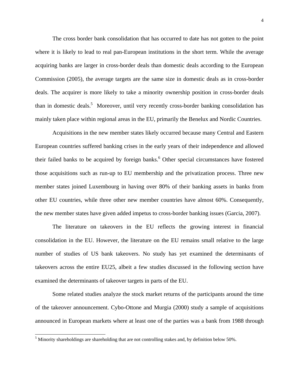The cross border bank consolidation that has occurred to date has not gotten to the point where it is likely to lead to real pan-European institutions in the short term. While the average acquiring banks are larger in cross-border deals than domestic deals according to the European Commission (2005), the average targets are the same size in domestic deals as in cross-border deals. The acquirer is more likely to take a minority ownership position in cross-border deals than in domestic deals.<sup>5</sup> Moreover, until very recently cross-border banking consolidation has mainly taken place within regional areas in the EU, primarily the Benelux and Nordic Countries.

Acquisitions in the new member states likely occurred because many Central and Eastern European countries suffered banking crises in the early years of their independence and allowed their failed banks to be acquired by foreign banks.<sup>6</sup> Other special circumstances have fostered those acquisitions such as run-up to EU membership and the privatization process. Three new member states joined Luxembourg in having over 80% of their banking assets in banks from other EU countries, while three other new member countries have almost 60%. Consequently, the new member states have given added impetus to cross-border banking issues (Garcia, 2007).

The literature on takeovers in the EU reflects the growing interest in financial consolidation in the EU. However, the literature on the EU remains small relative to the large number of studies of US bank takeovers. No study has yet examined the determinants of takeovers across the entire EU25, albeit a few studies discussed in the following section have examined the determinants of takeover targets in parts of the EU.

 Some related studies analyze the stock market returns of the participants around the time of the takeover announcement. Cybo-Ottone and Murgia (2000) study a sample of acquisitions announced in European markets where at least one of the parties was a bank from 1988 through

 $\overline{a}$ 

 $<sup>5</sup>$  Minority shareholdings are shareholding that are not controlling stakes and, by definition below 50%.</sup>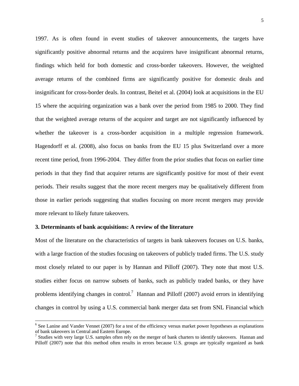1997. As is often found in event studies of takeover announcements, the targets have significantly positive abnormal returns and the acquirers have insignificant abnormal returns, findings which held for both domestic and cross-border takeovers. However, the weighted average returns of the combined firms are significantly positive for domestic deals and insignificant for cross-border deals. In contrast, Beitel et al. (2004) look at acquisitions in the EU 15 where the acquiring organization was a bank over the period from 1985 to 2000. They find that the weighted average returns of the acquirer and target are not significantly influenced by whether the takeover is a cross-border acquisition in a multiple regression framework. Hagendorff et al. (2008), also focus on banks from the EU 15 plus Switzerland over a more recent time period, from 1996-2004. They differ from the prior studies that focus on earlier time periods in that they find that acquirer returns are significantly positive for most of their event periods. Their results suggest that the more recent mergers may be qualitatively different from those in earlier periods suggesting that studies focusing on more recent mergers may provide more relevant to likely future takeovers.

#### **3. Determinants of bank acquisitions: A review of the literature**

Most of the literature on the characteristics of targets in bank takeovers focuses on U.S. banks, with a large fraction of the studies focusing on takeovers of publicly traded firms. The U.S. study most closely related to our paper is by Hannan and Pilloff (2007). They note that most U.S. studies either focus on narrow subsets of banks, such as publicly traded banks, or they have problems identifying changes in control.<sup>7</sup> Hannan and Pilloff (2007) avoid errors in identifying changes in control by using a U.S. commercial bank merger data set from SNL Financial which

 <sup>6</sup>  $<sup>6</sup>$  See Lanine and Vander Vennet (2007) for a test of the efficiency versus market power hypotheses as explanations</sup> of bank takeovers in Central and Eastern Europe.<br><sup>7</sup> Studies with very large U.S. samples often rely on the merger of bank charters to identify takeovers. Hannan and

Pilloff (2007) note that this method often results in errors because U.S. groups are typically organized as bank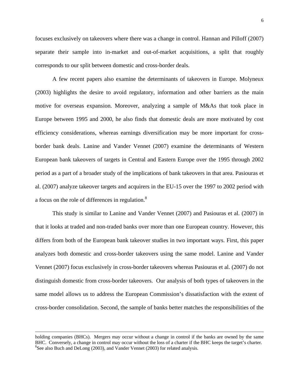focuses exclusively on takeovers where there was a change in control. Hannan and Pilloff (2007) separate their sample into in-market and out-of-market acquisitions, a split that roughly corresponds to our split between domestic and cross-border deals.

A few recent papers also examine the determinants of takeovers in Europe. Molyneux (2003) highlights the desire to avoid regulatory, information and other barriers as the main motive for overseas expansion. Moreover, analyzing a sample of M&As that took place in Europe between 1995 and 2000, he also finds that domestic deals are more motivated by cost efficiency considerations, whereas earnings diversification may be more important for crossborder bank deals. Lanine and Vander Vennet (2007) examine the determinants of Western European bank takeovers of targets in Central and Eastern Europe over the 1995 through 2002 period as a part of a broader study of the implications of bank takeovers in that area. Pasiouras et al. (2007) analyze takeover targets and acquirers in the EU-15 over the 1997 to 2002 period with a focus on the role of differences in regulation.<sup>8</sup>

 This study is similar to Lanine and Vander Vennet (2007) and Pasiouras et al. (2007) in that it looks at traded and non-traded banks over more than one European country. However, this differs from both of the European bank takeover studies in two important ways. First, this paper analyzes both domestic and cross-border takeovers using the same model. Lanine and Vander Vennet (2007) focus exclusively in cross-border takeovers whereas Pasiouras et al. (2007) do not distinguish domestic from cross-border takeovers. Our analysis of both types of takeovers in the same model allows us to address the European Commission's dissatisfaction with the extent of cross-border consolidation. Second, the sample of banks better matches the responsibilities of the

l

holding companies (BHCs). Mergers may occur without a change in control if the banks are owned by the same BHC. Conversely, a change in control may occur without the loss of a charter if the BHC keeps the target's charter. 8  ${}^{8}$ See also Buch and DeLong (2003), and Vander Vennet (2003) for related analysis.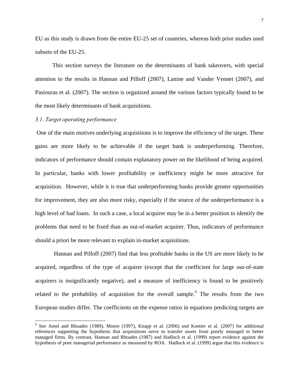EU as this study is drawn from the entire EU-25 set of countries, whereas both prior studies used subsets of the EU-25.

This section surveys the literature on the determinants of bank takeovers, with special attention to the results in Hannan and Pilloff (2007), Lanine and Vander Vennet (2007), and Pasiouras et al. (2007). The section is organized around the various factors typically found to be the most likely determinants of bank acquisitions.

#### *3.1. Target operating performance*

 One of the main motives underlying acquisitions is to improve the efficiency of the target. These gains are more likely to be achievable if the target bank is underperforming. Therefore, indicators of performance should contain explanatory power on the likelihood of being acquired. In particular, banks with lower profitability or inefficiency might be more attractive for acquisition. However, while it is true that underperforming banks provide greater opportunities for improvement, they are also more risky, especially if the source of the underperformance is a high level of bad loans. In such a case, a local acquirer may be in a better position to identify the problems that need to be fixed than an out-of-market acquirer. Thus, indicators of performance should a priori be more relevant to explain in-market acquisitions.

 Hannan and Pilloff (2007) find that less profitable banks in the US are more likely to be acquired, regardless of the type of acquirer (except that the coefficient for large out-of-state acquirers is insignificantly negative), and a measure of inefficiency is found to be positively related to the probability of acquisition for the overall sample.<sup>9</sup> The results from the two European studies differ. The coefficients on the expense ratios in equations predicting targets are

<sup>&</sup>lt;sup>9</sup> See Amel and Rhoades (1989), Moore (1997), Knapp et al. (2006) and Koetter et al. (2007) for additional references supporting the hypothesis that acquisitions serve to transfer assets from poorly managed to better managed firms. By contrast, Hannan and Rhoades (1987) and Hadlock et al. (1999) report evidence against the hypothesis of poor managerial performance as measured by ROA. Hadlock et al. (1999) argue that this evidence is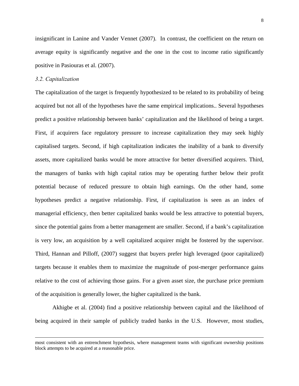insignificant in Lanine and Vander Vennet (2007). In contrast, the coefficient on the return on average equity is significantly negative and the one in the cost to income ratio significantly positive in Pasiouras et al. (2007).

#### *3.2. Capitalization*

 $\overline{a}$ 

The capitalization of the target is frequently hypothesized to be related to its probability of being acquired but not all of the hypotheses have the same empirical implications.. Several hypotheses predict a positive relationship between banks' capitalization and the likelihood of being a target. First, if acquirers face regulatory pressure to increase capitalization they may seek highly capitalised targets. Second, if high capitalization indicates the inability of a bank to diversify assets, more capitalized banks would be more attractive for better diversified acquirers. Third, the managers of banks with high capital ratios may be operating further below their profit potential because of reduced pressure to obtain high earnings. On the other hand, some hypotheses predict a negative relationship. First, if capitalization is seen as an index of managerial efficiency, then better capitalized banks would be less attractive to potential buyers, since the potential gains from a better management are smaller. Second, if a bank's capitalization is very low, an acquisition by a well capitalized acquirer might be fostered by the supervisor. Third, Hannan and Pilloff, (2007) suggest that buyers prefer high leveraged (poor capitalized) targets because it enables them to maximize the magnitude of post-merger performance gains relative to the cost of achieving those gains. For a given asset size, the purchase price premium of the acquisition is generally lower, the higher capitalized is the bank.

Akhigbe et al. (2004) find a positive relationship between capital and the likelihood of being acquired in their sample of publicly traded banks in the U.S. However, most studies,

most consistent with an entrenchment hypothesis, where management teams with significant ownership positions block attempts to be acquired at a reasonable price.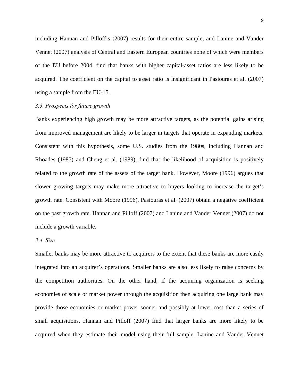including Hannan and Pilloff's (2007) results for their entire sample, and Lanine and Vander Vennet (2007) analysis of Central and Eastern European countries none of which were members of the EU before 2004, find that banks with higher capital-asset ratios are less likely to be acquired. The coefficient on the capital to asset ratio is insignificant in Pasiouras et al. (2007) using a sample from the EU-15.

#### *3.3. Prospects for future growth*

Banks experiencing high growth may be more attractive targets, as the potential gains arising from improved management are likely to be larger in targets that operate in expanding markets. Consistent with this hypothesis, some U.S. studies from the 1980s, including Hannan and Rhoades (1987) and Cheng et al. (1989), find that the likelihood of acquisition is positively related to the growth rate of the assets of the target bank. However, Moore (1996) argues that slower growing targets may make more attractive to buyers looking to increase the target's growth rate. Consistent with Moore (1996), Pasiouras et al. (2007) obtain a negative coefficient on the past growth rate. Hannan and Pilloff (2007) and Lanine and Vander Vennet (2007) do not include a growth variable.

#### *3.4. Size*

Smaller banks may be more attractive to acquirers to the extent that these banks are more easily integrated into an acquirer's operations. Smaller banks are also less likely to raise concerns by the competition authorities. On the other hand, if the acquiring organization is seeking economies of scale or market power through the acquisition then acquiring one large bank may provide those economies or market power sooner and possibly at lower cost than a series of small acquisitions. Hannan and Pilloff (2007) find that larger banks are more likely to be acquired when they estimate their model using their full sample. Lanine and Vander Vennet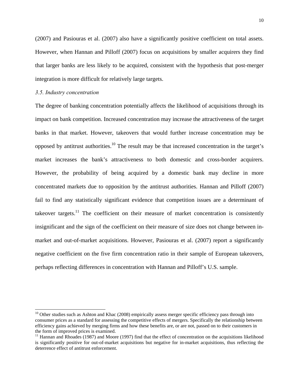(2007) and Pasiouras et al. (2007) also have a significantly positive coefficient on total assets. However, when Hannan and Pilloff (2007) focus on acquisitions by smaller acquirers they find that larger banks are less likely to be acquired, consistent with the hypothesis that post-merger integration is more difficult for relatively large targets.

#### *3.5. Industry concentration*

 $\overline{a}$ 

The degree of banking concentration potentially affects the likelihood of acquisitions through its impact on bank competition. Increased concentration may increase the attractiveness of the target banks in that market. However, takeovers that would further increase concentration may be opposed by antitrust authorities.<sup>10</sup> The result may be that increased concentration in the target's market increases the bank's attractiveness to both domestic and cross-border acquirers. However, the probability of being acquired by a domestic bank may decline in more concentrated markets due to opposition by the antitrust authorities. Hannan and Pilloff (2007) fail to find any statistically significant evidence that competition issues are a determinant of takeover targets.<sup>11</sup> The coefficient on their measure of market concentration is consistently insignificant and the sign of the coefficient on their measure of size does not change between inmarket and out-of-market acquisitions. However, Pasiouras et al. (2007) report a significantly negative coefficient on the five firm concentration ratio in their sample of European takeovers, perhaps reflecting differences in concentration with Hannan and Pilloff's U.S. sample.

 $10$  Other studies such as Ashton and Khac (2008) empirically assess merger specific efficiency pass through into consumer prices as a standard for assessing the competitive effects of mergers. Specifically the relationship between efficiency gains achieved by merging firms and how these benefits are, or are not, passed on to their customers in the form of improved prices is examined.<br><sup>11</sup> Hannan and Rhoades (1987) and Moore (1997) find that the effect of concentration on the acquisitions likelihood

is significantly positive for out-of-market acquisitions but negative for in-market acquisitions, thus reflecting the deterrence effect of antitrust enforcement.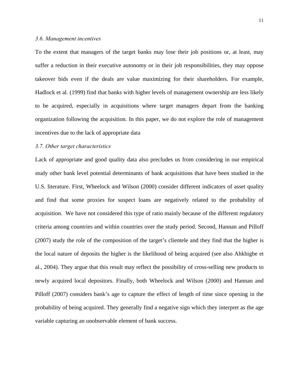#### *3.6. Management incentives*

To the extent that managers of the target banks may lose their job positions or, at least, may suffer a reduction in their executive autonomy or in their job responsibilities, they may oppose takeover bids even if the deals are value maximizing for their shareholders. For example, Hadlock et al. (1999) find that banks with higher levels of management ownership are less likely to be acquired, especially in acquisitions where target managers depart from the banking organization following the acquisition. In this paper, we do not explore the role of management incentives due to the lack of appropriate data

#### *3.7. Other target characteristics*

Lack of appropriate and good quality data also precludes us from considering in our empirical study other bank level potential determinants of bank acquisitions that have been studied in the U.S. literature. First, Wheelock and Wilson (2000) consider different indicators of asset quality and find that some proxies for suspect loans are negatively related to the probability of acquisition. We have not considered this type of ratio mainly because of the different regulatory criteria among countries and within countries over the study period. Second, Hannan and Pilloff (2007) study the role of the composition of the target's clientele and they find that the higher is the local nature of deposits the higher is the likelihood of being acquired (see also Ahkhigbe et al., 2004). They argue that this result may reflect the possibility of cross-selling new products to newly acquired local depositors. Finally, both Wheelock and Wilson (2000) and Hannan and Pilloff (2007) considers bank's age to capture the effect of length of time since opening in the probability of being acquired. They generally find a negative sign which they interpret as the age variable capturing an unobservable element of bank success.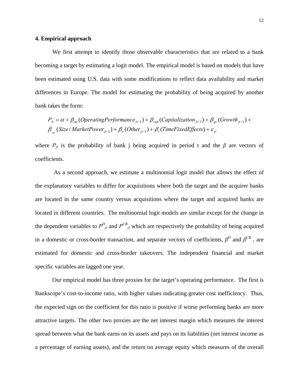#### **4. Empirical approach**

We first attempt to identify those observable characteristics that are related to a bank becoming a target by estimating a logit model. The empirical model is based on models that have been estimated using U.S. data with some modifications to reflect data availability and market differences in Europe. The model for estimating the probability of being acquired by another bank takes the form:

$$
P_{jt} = \alpha + \beta_{op} (OperatingPerformance_{jt-1}) + \beta_{cap} (Capitalization_{jt-1}) + \beta_{gr} (Growth_{jt-1}) + \beta_{op} (Size / MarketPower_{jt-1}) + \beta_{o} (Other_{jt-1}) + \beta_{t} (TimeFixedEffects) + \varepsilon_{jt}
$$

where  $P_{jt}$  is the probability of bank j being acquired in period t and the  $\beta$  are vectors of coefficients.

 As a second approach, we estimate a multinomial logit model that allows the effect of the explanatory variables to differ for acquisitions where both the target and the acquirer banks are located in the same country versus acquisitions where the target and acquired banks are located in different countries. The multinomial logit models are similar except for the change in the dependent variables to  $P_{j_t}^D$  and  $P_{j_t}^{CB}$  which are respectively the probability of being acquired in a domestic or cross-border transaction, and separate vectors of coefficients,  $\beta^D$  and  $\beta^{CB}$ , are estimated for domestic and cross-border takeovers. The independent financial and market specific variables are lagged one year.

Our empirical model has three proxies for the target's operating performance. The first is Bankscope's cost-to-income ratio, with higher values indicating greater cost inefficiency. Thus, the expected sign on the coefficient for this ratio is positive if worse performing banks are more attractive targets. The other two proxies are the net interest margin which measures the interest spread between what the bank earns on its assets and pays on its liabilities (net interest income as a percentage of earning assets), and the return on average equity which measures of the overall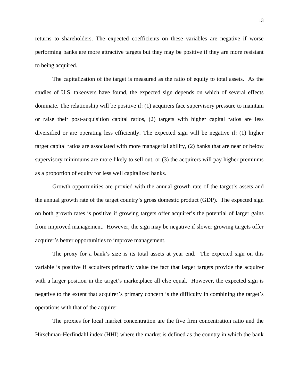returns to shareholders. The expected coefficients on these variables are negative if worse performing banks are more attractive targets but they may be positive if they are more resistant to being acquired.

The capitalization of the target is measured as the ratio of equity to total assets. As the studies of U.S. takeovers have found, the expected sign depends on which of several effects dominate. The relationship will be positive if: (1) acquirers face supervisory pressure to maintain or raise their post-acquisition capital ratios, (2) targets with higher capital ratios are less diversified or are operating less efficiently. The expected sign will be negative if: (1) higher target capital ratios are associated with more managerial ability, (2) banks that are near or below supervisory minimums are more likely to sell out, or (3) the acquirers will pay higher premiums as a proportion of equity for less well capitalized banks.

Growth opportunities are proxied with the annual growth rate of the target's assets and the annual growth rate of the target country's gross domestic product (GDP). The expected sign on both growth rates is positive if growing targets offer acquirer's the potential of larger gains from improved management. However, the sign may be negative if slower growing targets offer acquirer's better opportunities to improve management.

The proxy for a bank's size is its total assets at year end. The expected sign on this variable is positive if acquirers primarily value the fact that larger targets provide the acquirer with a larger position in the target's marketplace all else equal. However, the expected sign is negative to the extent that acquirer's primary concern is the difficulty in combining the target's operations with that of the acquirer.

The proxies for local market concentration are the five firm concentration ratio and the Hirschman-Herfindahl index (HHI) where the market is defined as the country in which the bank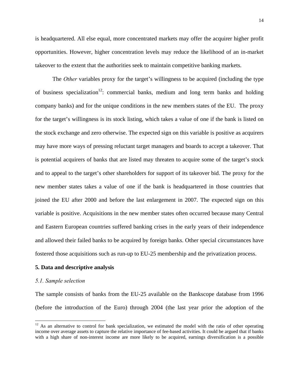is headquartered. All else equal, more concentrated markets may offer the acquirer higher profit opportunities. However, higher concentration levels may reduce the likelihood of an in-market takeover to the extent that the authorities seek to maintain competitive banking markets.

 The *Other* variables proxy for the target's willingness to be acquired (including the type of business specialization<sup>12</sup>: commercial banks, medium and long term banks and holding company banks) and for the unique conditions in the new members states of the EU. The proxy for the target's willingness is its stock listing, which takes a value of one if the bank is listed on the stock exchange and zero otherwise. The expected sign on this variable is positive as acquirers may have more ways of pressing reluctant target managers and boards to accept a takeover. That is potential acquirers of banks that are listed may threaten to acquire some of the target's stock and to appeal to the target's other shareholders for support of its takeover bid. The proxy for the new member states takes a value of one if the bank is headquartered in those countries that joined the EU after 2000 and before the last enlargement in 2007. The expected sign on this variable is positive. Acquisitions in the new member states often occurred because many Central and Eastern European countries suffered banking crises in the early years of their independence and allowed their failed banks to be acquired by foreign banks. Other special circumstances have fostered those acquisitions such as run-up to EU-25 membership and the privatization process.

#### **5. Data and descriptive analysis**

#### *5.1. Sample selection*

 $\overline{a}$ 

The sample consists of banks from the EU-25 available on the Bankscope database from 1996 (before the introduction of the Euro) through 2004 (the last year prior the adoption of the

 $12$  As an alternative to control for bank specialization, we estimated the model with the ratio of other operating income over average assets to capture the relative importance of fee-based activities. It could be argued that if banks with a high share of non-interest income are more likely to be acquired, earnings diversification is a possible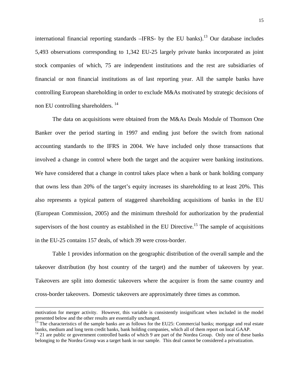international financial reporting standards  $-IFRS-$  by the EU banks).<sup>13</sup> Our database includes 5,493 observations corresponding to 1,342 EU-25 largely private banks incorporated as joint stock companies of which, 75 are independent institutions and the rest are subsidiaries of financial or non financial institutions as of last reporting year. All the sample banks have controlling European shareholding in order to exclude M&As motivated by strategic decisions of non EU controlling shareholders. 14

The data on acquisitions were obtained from the M&As Deals Module of Thomson One Banker over the period starting in 1997 and ending just before the switch from national accounting standards to the IFRS in 2004. We have included only those transactions that involved a change in control where both the target and the acquirer were banking institutions. We have considered that a change in control takes place when a bank or bank holding company that owns less than 20% of the target's equity increases its shareholding to at least 20%. This also represents a typical pattern of staggered shareholding acquisitions of banks in the EU (European Commission, 2005) and the minimum threshold for authorization by the prudential supervisors of the host country as established in the EU Directive.<sup>15</sup> The sample of acquisitions in the EU-25 contains 157 deals, of which 39 were cross-border.

Table 1 provides information on the geographic distribution of the overall sample and the takeover distribution (by host country of the target) and the number of takeovers by year. Takeovers are split into domestic takeovers where the acquirer is from the same country and cross-border takeovers. Domestic takeovers are approximately three times as common.

 $\overline{a}$ 

motivation for merger activity. However, this variable is consistently insignificant when included in the model presented below and the other results are essentially unchanged.

<sup>&</sup>lt;sup>13</sup> The characteristics of the sample banks are as follows for the EU25: Commercial banks; mortgage and real estate banks, medium and long term credit banks, bank holding companies, which all of them report on local GAAP.

 $14$  21 are public or government controlled banks of which 9 are part of the Nordea Group. Only one of these banks belonging to the Nordea Group was a target bank in our sample. This deal cannot be considered a privatization.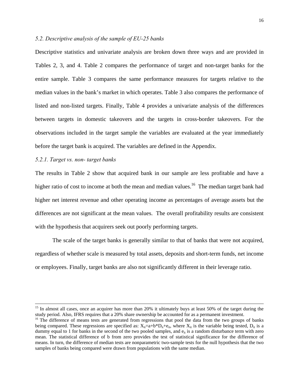#### *5.2. Descriptive analysis of the sample of EU-25 banks*

Descriptive statistics and univariate analysis are broken down three ways and are provided in Tables 2, 3, and 4. Table 2 compares the performance of target and non-target banks for the entire sample. Table 3 compares the same performance measures for targets relative to the median values in the bank's market in which operates. Table 3 also compares the performance of listed and non-listed targets. Finally, Table 4 provides a univariate analysis of the differences between targets in domestic takeovers and the targets in cross-border takeovers. For the observations included in the target sample the variables are evaluated at the year immediately before the target bank is acquired. The variables are defined in the Appendix.

# *5.2.1. Target vs. non- target banks*

The results in Table 2 show that acquired bank in our sample are less profitable and have a higher ratio of cost to income at both the mean and median values.<sup>16</sup> The median target bank had higher net interest revenue and other operating income as percentages of average assets but the differences are not significant at the mean values. The overall profitability results are consistent with the hypothesis that acquirers seek out poorly performing targets.

The scale of the target banks is generally similar to that of banks that were not acquired, regardless of whether scale is measured by total assets, deposits and short-term funds, net income or employees. Finally, target banks are also not significantly different in their leverage ratio.

<sup>15</sup> In almost all cases, once an acquirer has more than 20% it ultimately buys at least 50% of the target during the study period. Also, IFRS requires that a 20% share ownership be accounted for as a permanent investment.<br><sup>16</sup> The difference of means tests are generated from regressions that pool the data from the two groups of banks

being compared. These regressions are specified as:  $X_{it}=a+b*D_{it}+e_{it}$ , where  $X_{it}$  is the variable being tested,  $D_{it}$  is a dummy equal to 1 for banks in the second of the two pooled samples, and  $e_{it}$  is a random disturbance term with zero mean. The statistical difference of b from zero provides the test of statistical significance for the difference of means. In turn, the difference of median tests are nonparametric two-sample tests for the null hypothesis that the two samples of banks being compared were drawn from populations with the same median.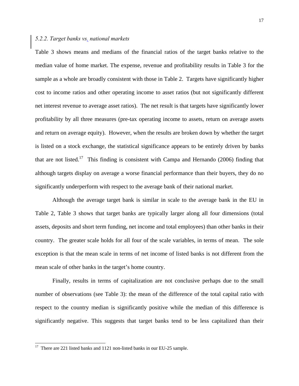#### *5.2.2. Target banks vs. national markets*

Table 3 shows means and medians of the financial ratios of the target banks relative to the median value of home market. The expense, revenue and profitability results in Table 3 for the sample as a whole are broadly consistent with those in Table 2. Targets have significantly higher cost to income ratios and other operating income to asset ratios (but not significantly different net interest revenue to average asset ratios). The net result is that targets have significantly lower profitability by all three measures (pre-tax operating income to assets, return on average assets and return on average equity). However, when the results are broken down by whether the target is listed on a stock exchange, the statistical significance appears to be entirely driven by banks that are not listed.<sup>17</sup> This finding is consistent with Campa and Hernando (2006) finding that although targets display on average a worse financial performance than their buyers, they do no significantly underperform with respect to the average bank of their national market.

Although the average target bank is similar in scale to the average bank in the EU in Table 2, Table 3 shows that target banks are typically larger along all four dimensions (total assets, deposits and short term funding, net income and total employees) than other banks in their country. The greater scale holds for all four of the scale variables, in terms of mean. The sole exception is that the mean scale in terms of net income of listed banks is not different from the mean scale of other banks in the target's home country.

Finally, results in terms of capitalization are not conclusive perhaps due to the small number of observations (see Table 3): the mean of the difference of the total capital ratio with respect to the country median is significantly positive while the median of this difference is significantly negative. This suggests that target banks tend to be less capitalized than their

 $\overline{a}$ 

<sup>&</sup>lt;sup>17</sup> There are 221 listed banks and 1121 non-listed banks in our EU-25 sample.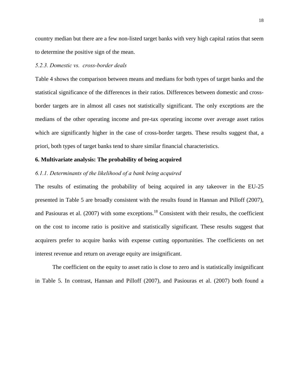country median but there are a few non-listed target banks with very high capital ratios that seem to determine the positive sign of the mean.

# *5.2.3. Domestic vs. cross-border deals*

Table 4 shows the comparison between means and medians for both types of target banks and the statistical significance of the differences in their ratios. Differences between domestic and crossborder targets are in almost all cases not statistically significant. The only exceptions are the medians of the other operating income and pre-tax operating income over average asset ratios which are significantly higher in the case of cross-border targets. These results suggest that, a priori, both types of target banks tend to share similar financial characteristics.

#### **6. Multivariate analysis: The probability of being acquired**

#### *6.1.1. Determinants of the likelihood of a bank being acquired*

The results of estimating the probability of being acquired in any takeover in the EU-25 presented in Table 5 are broadly consistent with the results found in Hannan and Pilloff (2007), and Pasiouras et al. (2007) with some exceptions.<sup>18</sup> Consistent with their results, the coefficient on the cost to income ratio is positive and statistically significant. These results suggest that acquirers prefer to acquire banks with expense cutting opportunities. The coefficients on net interest revenue and return on average equity are insignificant.

The coefficient on the equity to asset ratio is close to zero and is statistically insignificant in Table 5. In contrast, Hannan and Pilloff (2007), and Pasiouras et al. (2007) both found a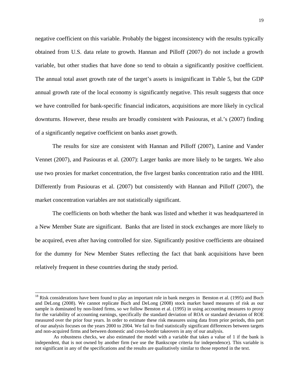negative coefficient on this variable. Probably the biggest inconsistency with the results typically obtained from U.S. data relate to growth. Hannan and Pilloff (2007) do not include a growth variable, but other studies that have done so tend to obtain a significantly positive coefficient. The annual total asset growth rate of the target's assets is insignificant in Table 5, but the GDP annual growth rate of the local economy is significantly negative. This result suggests that once we have controlled for bank-specific financial indicators, acquisitions are more likely in cyclical downturns. However, these results are broadly consistent with Pasiouras, et al.'s (2007) finding of a significantly negative coefficient on banks asset growth.

The results for size are consistent with Hannan and Pilloff (2007), Lanine and Vander Vennet (2007), and Pasiouras et al. (2007): Larger banks are more likely to be targets. We also use two proxies for market concentration, the five largest banks concentration ratio and the HHI. Differently from Pasiouras et al. (2007) but consistently with Hannan and Pilloff (2007), the market concentration variables are not statistically significant.

The coefficients on both whether the bank was listed and whether it was headquartered in a New Member State are significant. Banks that are listed in stock exchanges are more likely to be acquired, even after having controlled for size. Significantly positive coefficients are obtained for the dummy for New Member States reflecting the fact that bank acquisitions have been relatively frequent in these countries during the study period.

 $18$  Risk considerations have been found to play an important role in bank mergers in Benston et al. (1995) and Buch and DeLong (2008). We cannot replicate Buch and DeLong (2008) stock market based measures of risk as our sample is dominated by non-listed firms, so we follow Benston et al. (1995) in using accounting measures to proxy for the variability of accounting earnings, specifically the standard deviation of ROA or standard deviation of ROE measured over the prior four years. In order to estimate these risk measures using data from prior periods, this part of our analysis focuses on the years 2000 to 2004. We fail to find statistically significant differences between targets and non-acquired firms and between domestic and cross-border takeovers in any of our analysis.

As robustness checks, we also estimated the model with a variable that takes a value of 1 if the bank is independent, that is not owned by another firm (we use the Bankscope criteria for independence). This variable is not significant in any of the specifications and the results are qualitatively similar to those reported in the text.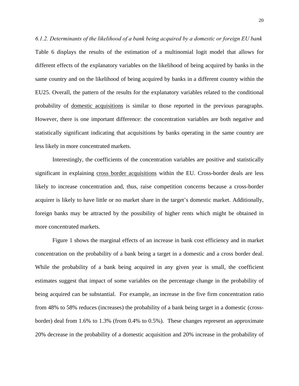*6.1.2. Determinants of the likelihood of a bank being acquired by a domestic or foreign EU bank*  Table 6 displays the results of the estimation of a multinomial logit model that allows for different effects of the explanatory variables on the likelihood of being acquired by banks in the same country and on the likelihood of being acquired by banks in a different country within the EU25. Overall, the pattern of the results for the explanatory variables related to the conditional probability of domestic acquisitions is similar to those reported in the previous paragraphs. However, there is one important difference: the concentration variables are both negative and statistically significant indicating that acquisitions by banks operating in the same country are less likely in more concentrated markets.

 Interestingly, the coefficients of the concentration variables are positive and statistically significant in explaining cross border acquisitions within the EU. Cross-border deals are less likely to increase concentration and, thus, raise competition concerns because a cross-border acquirer is likely to have little or no market share in the target's domestic market. Additionally, foreign banks may be attracted by the possibility of higher rents which might be obtained in more concentrated markets.

Figure 1 shows the marginal effects of an increase in bank cost efficiency and in market concentration on the probability of a bank being a target in a domestic and a cross border deal. While the probability of a bank being acquired in any given year is small, the coefficient estimates suggest that impact of some variables on the percentage change in the probability of being acquired can be substantial. For example, an increase in the five firm concentration ratio from 48% to 58% reduces (increases) the probability of a bank being target in a domestic (crossborder) deal from 1.6% to 1.3% (from 0.4% to 0.5%). These changes represent an approximate 20% decrease in the probability of a domestic acquisition and 20% increase in the probability of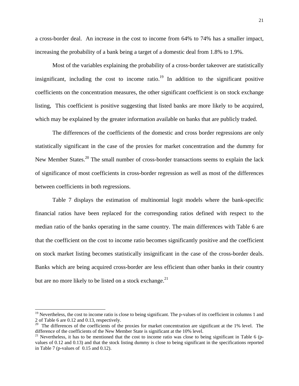a cross-border deal. An increase in the cost to income from 64% to 74% has a smaller impact, increasing the probability of a bank being a target of a domestic deal from 1.8% to 1.9%.

 Most of the variables explaining the probability of a cross-border takeover are statistically insignificant, including the cost to income ratio.<sup>19</sup> In addition to the significant positive coefficients on the concentration measures, the other significant coefficient is on stock exchange listing, This coefficient is positive suggesting that listed banks are more likely to be acquired, which may be explained by the greater information available on banks that are publicly traded.

 The differences of the coefficients of the domestic and cross border regressions are only statistically significant in the case of the proxies for market concentration and the dummy for New Member States.<sup>20</sup> The small number of cross-border transactions seems to explain the lack of significance of most coefficients in cross-border regression as well as most of the differences between coefficients in both regressions.

Table 7 displays the estimation of multinomial logit models where the bank-specific financial ratios have been replaced for the corresponding ratios defined with respect to the median ratio of the banks operating in the same country. The main differences with Table 6 are that the coefficient on the cost to income ratio becomes significantly positive and the coefficient on stock market listing becomes statistically insignificant in the case of the cross-border deals. Banks which are being acquired cross-border are less efficient than other banks in their country but are no more likely to be listed on a stock exchange.<sup>21</sup>

 $\overline{a}$ 

<sup>&</sup>lt;sup>19</sup> Nevertheless, the cost to income ratio is close to being significant. The p-values of its coefficient in columns 1 and 2 of Table 6 are 0.12 and 0.13, respectively.

<sup>&</sup>lt;sup>20</sup> The differences of the coefficients of the proxies for market concentration are significant at the 1% level. The difference of the coefficients of the New Member State is significant at the 10% level.

 $21$  Nevertheless, it has to be mentioned that the cost to income ratio was close to being significant in Table 6 (pvalues of 0.12 and 0.13) and that the stock listing dummy is close to being significant in the specifications reported in Table 7 (p-values of 0.15 and 0.12).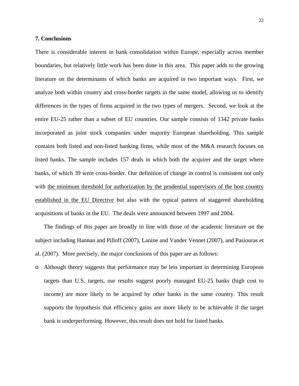#### **7. Conclusions**

There is considerable interest in bank consolidation within Europe, especially across member boundaries, but relatively little work has been done in this area. This paper adds to the growing literature on the determinants of which banks are acquired in two important ways. First, we analyze both within country and cross-border targets in the same model, allowing us to identify differences in the types of firms acquired in the two types of mergers. Second, we look at the entire EU-25 rather than a subset of EU countries. Our sample consists of 1342 private banks incorporated as joint stock companies under majority European shareholding. This sample contains both listed and non-listed banking firms, while most of the M&A research focuses on listed banks. The sample includes 157 deals in which both the acquirer and the target where banks, of which 39 were cross-border. Our definition of change in control is consistent not only with the minimum threshold for authorization by the prudential supervisors of the host country established in the EU Directive but also with the typical pattern of staggered shareholding acquisitions of banks in the EU. The deals were announced between 1997 and 2004.

The findings of this paper are broadly in line with those of the academic literature on the subject including Hannan and Pilloff (2007), Lanine and Vander Vennet (2007), and Pasiouras et al. (2007). More precisely, the major conclusions of this paper are as follows:

o Although theory suggests that performance may be less important in determining European targets than U.S. targets, our results suggest poorly managed EU-25 banks (high cost to income) are more likely to be acquired by other banks in the same country. This result supports the hypothesis that efficiency gains are more likely to be achievable if the target bank is underperforming. However, this result does not hold for listed banks.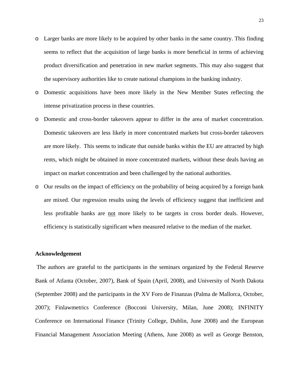- o Larger banks are more likely to be acquired by other banks in the same country. This finding seems to reflect that the acquisition of large banks is more beneficial in terms of achieving product diversification and penetration in new market segments. This may also suggest that the supervisory authorities like to create national champions in the banking industry.
- o Domestic acquisitions have been more likely in the New Member States reflecting the intense privatization process in these countries.
- o Domestic and cross-border takeovers appear to differ in the area of market concentration. Domestic takeovers are less likely in more concentrated markets but cross-border takeovers are more likely. This seems to indicate that outside banks within the EU are attracted by high rents, which might be obtained in more concentrated markets, without these deals having an impact on market concentration and been challenged by the national authorities.
- o Our results on the impact of efficiency on the probability of being acquired by a foreign bank are mixed. Our regression results using the levels of efficiency suggest that inefficient and less profitable banks are not more likely to be targets in cross border deals. However, efficiency is statistically significant when measured relative to the median of the market.

#### **Acknowledgement**

 The authors are grateful to the participants in the seminars organized by the Federal Reserve Bank of Atlanta (October, 2007), Bank of Spain (April, 2008), and University of North Dakota (September 2008) and the participants in the XV Foro de Finanzas (Palma de Mallorca, October, 2007); Finlawmetrics Conference (Bocconi University, Milan, June 2008); INFINITY Conference on International Finance (Trinity College, Dublin, June 2008) and the European Financial Management Association Meeting (Athens, June 2008) as well as George Benston,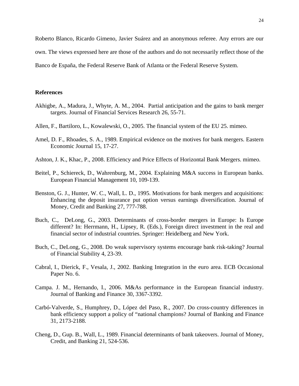Roberto Blanco, Ricardo Gimeno, Javier Suárez and an anonymous referee. Any errors are our

own. The views expressed here are those of the authors and do not necessarily reflect those of the

Banco de España, the Federal Reserve Bank of Atlanta or the Federal Reserve System.

#### **References**

- Akhigbe, A., Madura, J., Whyte, A. M., 2004. Partial anticipation and the gains to bank merger targets. Journal of Financial Services Research 26, 55-71.
- Allen, F., Bartiloro, L., Kowalewski, O., 2005. The financial system of the EU 25. mimeo.
- Amel, D. F., Rhoades, S. A., 1989. Empirical evidence on the motives for bank mergers. Eastern Economic Journal 15, 17-27.
- Ashton, J. K., Khac, P., 2008. Efficiency and Price Effects of Horizontal Bank Mergers. mimeo.
- Beitel, P., Schiereck, D., Wahrenburg, M., 2004. Explaining M&A success in European banks. European Financial Management 10, 109-139.
- Benston, G. J., Hunter, W. C., Wall, L. D., 1995. Motivations for bank mergers and acquisitions: Enhancing the deposit insurance put option versus earnings diversification. Journal of Money, Credit and Banking 27, 777-788.
- Buch, C., DeLong, G., 2003. Determinants of cross-border mergers in Europe: Is Europe different? In: Herrmann, H., Lipsey, R. (Eds.), Foreign direct investment in the real and financial sector of industrial countries. Springer: Heidelberg and New York.
- Buch, C., DeLong, G., 2008. Do weak supervisory systems encourage bank risk-taking? Journal of Financial Stability 4, 23-39.
- Cabral, I., Dierick, F., Vesala, J., 2002. Banking Integration in the euro area. ECB Occasional Paper No. 6.
- Campa. J. M., Hernando, I., 2006. M&As performance in the European financial industry. Journal of Banking and Finance 30, 3367-3392.
- Carbó-Valverde, S., Humphrey, D., López del Paso, R., 2007. Do cross-country differences in bank efficiency support a policy of "national champions? Journal of Banking and Finance 31, 2173-2188.
- Cheng, D., Gup. B., Wall, L., 1989. Financial determinants of bank takeovers. Journal of Money, Credit, and Banking 21, 524-536.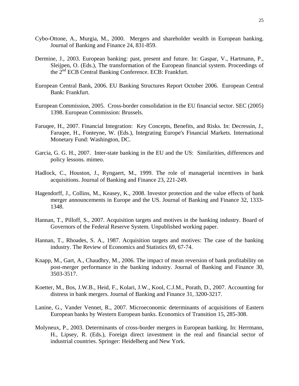- Cybo-Ottone, A., Murgia, M., 2000. Mergers and shareholder wealth in European banking. Journal of Banking and Finance 24, 831-859.
- Dermine, J., 2003. European banking: past, present and future. In: Gaspar, V., Hartmann, P., Sleijpen, O. (Eds.), The transformation of the European financial system. Proceedings of the 2nd ECB Central Banking Conference. ECB: Frankfurt.
- European Central Bank, 2006. EU Banking Structures Report October 2006. European Central Bank: Frankfurt.
- European Commission, 2005. Cross-border consolidation in the EU financial sector. SEC (2005) 1398. European Commission: Brussels.
- Faruqee, H., 2007. Financial Integration: Key Concepts, Benefits, and Risks. In: Decressin, J., Faruqee, H., Fonteyne, W. (Eds.), Integrating Europe's Financial Markets. International Monetary Fund: Washington, DC.
- Garcia, G. G. H., 2007. Inter-state banking in the EU and the US: Similarities, differences and policy lessons. mimeo.
- Hadlock, C., Houston, J., Ryngaert, M., 1999. The role of managerial incentives in bank acquisitions. Journal of Banking and Finance 23, 221-249.
- Hagendorff, J., Collins, M., Keasey, K., 2008. Investor protection and the value effects of bank merger announcements in Europe and the US. Journal of Banking and Finance 32, 1333- 1348.
- Hannan, T., Pilloff, S., 2007. Acquisition targets and motives in the banking industry. Board of Governors of the Federal Reserve System. Unpublished working paper.
- Hannan, T., Rhoades, S. A., 1987. Acquisition targets and motives: The case of the banking industry. The Review of Economics and Statistics 69, 67-74.
- Knapp, M., Gart, A., Chaudhry, M., 2006. The impact of mean reversion of bank profitability on post-merger performance in the banking industry. Journal of Banking and Finance 30, 3503-3517.
- Koetter, M., Bos, J.W.B., Heid, F., Kolari, J.W., Kool, C.J.M., Porath, D., 2007. Accounting for distress in bank mergers. Journal of Banking and Finance 31, 3200-3217.
- Lanine, G., Vander Vennet, R., 2007. Microeconomic determinants of acquisitions of Eastern European banks by Western European banks. Economics of Transition 15, 285-308.
- Molyneux, P., 2003. Determinants of cross-border mergers in European banking. In: Herrmann, H., Lipsey, R. (Eds.), Foreign direct investment in the real and financial sector of industrial countries. Springer: Heidelberg and New York.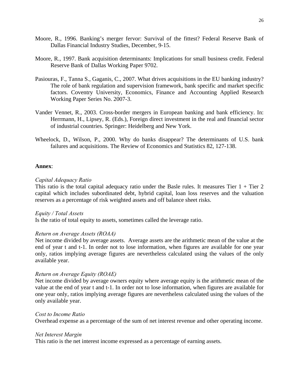- Moore, R., 1996. Banking's merger fervor: Survival of the fittest? Federal Reserve Bank of Dallas Financial Industry Studies, December, 9-15.
- Moore, R., 1997. Bank acquisition determinants: Implications for small business credit. Federal Reserve Bank of Dallas Working Paper 9702.
- Pasiouras, F., Tanna S., Gaganis, C., 2007. What drives acquisitions in the EU banking industry? The role of bank regulation and supervision framework, bank specific and market specific factors. Coventry University, Economics, Finance and Accounting Applied Research Working Paper Series No. 2007-3.
- Vander Vennet, R., 2003. Cross-border mergers in European banking and bank efficiency. In: Herrmann, H., Lipsey, R. (Eds.), Foreign direct investment in the real and financial sector of industrial countries. Springer: Heidelberg and New York.
- Wheelock, D., Wilson, P., 2000. Why do banks disappear? The determinants of U.S. bank failures and acquisitions. The Review of Economics and Statistics 82, 127-138.

## **Annex**:

## *Capital Adequacy Ratio*

This ratio is the total capital adequacy ratio under the Basle rules. It measures Tier  $1 +$  Tier  $2$ capital which includes subordinated debt, hybrid capital, loan loss reserves and the valuation reserves as a percentage of risk weighted assets and off balance sheet risks.

#### *Equity / Total Assets*

Is the ratio of total equity to assets, sometimes called the leverage ratio.

# *Return on Average Assets (ROAA)*

Net income divided by average assets. Average assets are the arithmetic mean of the value at the end of year t and t-1. In order not to lose information, when figures are available for one year only, ratios implying average figures are nevertheless calculated using the values of the only available year.

# *Return on Average Equity (ROAE)*

Net income divided by average owners equity where average equity is the arithmetic mean of the value at the end of year t and t-1. In order not to lose information, when figures are available for one year only, ratios implying average figures are nevertheless calculated using the values of the only available year.

# *Cost to Income Ratio*

Overhead expense as a percentage of the sum of net interest revenue and other operating income.

# *Net Interest Margin*

This ratio is the net interest income expressed as a percentage of earning assets.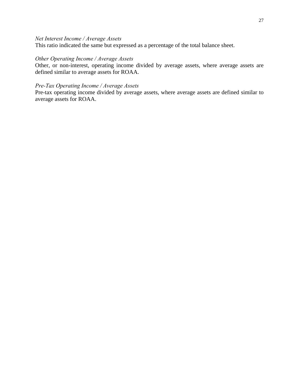# *Net Interest Income / Average Assets*

This ratio indicated the same but expressed as a percentage of the total balance sheet.

# *Other Operating Income / Average Assets*

Other, or non-interest, operating income divided by average assets, where average assets are defined similar to average assets for ROAA.

## *Pre-Tax Operating Income / Average Assets*

Pre-tax operating income divided by average assets, where average assets are defined similar to average assets for ROAA.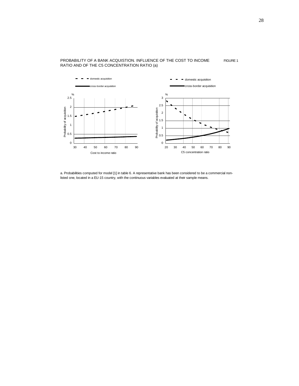

#### PROBABILITY OF A BANK ACQUISTION. INFLUENCE OF THE COST TO INCOME RATIO AND OF THE C5 CONCENTRATION RATIO (a)

a. Probabilities computed for model [1] in table 6. A representative bank has been considered to be a commercial nonlisted one, located in a EU-15 country, with the continuous variables evaluated at their sample means.

FIGURE 1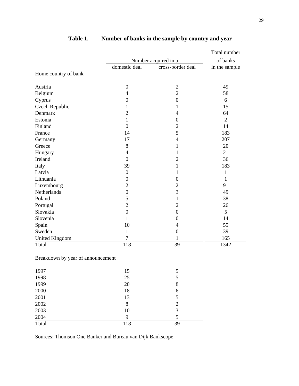|                                   |                      |                   | Total number   |
|-----------------------------------|----------------------|-------------------|----------------|
|                                   | Number acquired in a |                   |                |
|                                   | domestic deal        | cross-border deal | in the sample  |
| Home country of bank              |                      |                   |                |
|                                   |                      |                   |                |
| Austria                           | $\boldsymbol{0}$     | $\overline{2}$    | 49             |
| Belgium                           | $\overline{4}$       | $\overline{2}$    | 58             |
| Cyprus                            | $\overline{0}$       | $\boldsymbol{0}$  | 6              |
| Czech Republic                    | 1                    | 1                 | 15             |
| Denmark                           | $\overline{2}$       | $\overline{4}$    | 64             |
| Estonia                           | 1                    | $\boldsymbol{0}$  | $\overline{2}$ |
| Finland                           | $\overline{0}$       | $\overline{c}$    | 14             |
| France                            | 14                   | 5                 | 183            |
| Germany                           | 17                   | $\overline{4}$    | 207            |
| Greece                            | 8                    | 1                 | 20             |
| Hungary                           | $\overline{4}$       | $\mathbf{1}$      | 21             |
| Ireland                           | $\overline{0}$       | $\overline{2}$    | 36             |
| Italy                             | 39                   | 1                 | 183            |
| Latvia                            | $\boldsymbol{0}$     | $\mathbf{1}$      | $\mathbf{1}$   |
| Lithuania                         | $\boldsymbol{0}$     | $\boldsymbol{0}$  | 1              |
| Luxembourg                        | $\overline{2}$       | $\overline{c}$    | 91             |
| Netherlands                       | $\boldsymbol{0}$     | $\overline{3}$    | 49             |
| Poland                            | 5                    | $\mathbf{1}$      | 38             |
| Portugal                          | $\overline{2}$       | $\overline{2}$    | 26             |
| Slovakia                          | $\boldsymbol{0}$     | $\boldsymbol{0}$  | 5              |
| Slovenia                          | 1                    | $\overline{0}$    | 14             |
| Spain                             | 10                   | $\overline{4}$    | 55             |
| Sweden                            | $\mathbf{1}$         | $\boldsymbol{0}$  | 39             |
| <b>United Kingdom</b>             | $\overline{7}$       | $\mathbf{1}$      | 165            |
| Total                             | 118                  | 39                | 1342           |
| Breakdown by year of announcement |                      |                   |                |
| 1997                              | 15                   | 5                 |                |
| 1998                              | 25                   | 5                 |                |

# **Table 1. Number of banks in the sample by country and year**

Sources: Thomson One Banker and Bureau van Dijk Bankscope

1999 20 8 2000 18 6 2001 13 5 2002 8 2 2003 10 3 2004 9 5 Total 118 39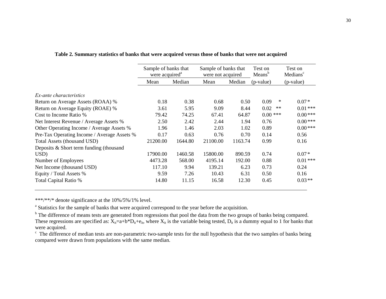|                                             | Sample of banks that<br>were acquired <sup>a</sup> |         | Sample of banks that<br>were not acquired |         | Test on<br>Means <sup>b</sup> | Test on<br>Medians <sup>c</sup> |
|---------------------------------------------|----------------------------------------------------|---------|-------------------------------------------|---------|-------------------------------|---------------------------------|
|                                             | Mean                                               | Median  | Mean                                      | Median  | $(p-value)$                   | (p-value)                       |
| <i>Ex-ante characteristics</i>              |                                                    |         |                                           |         |                               |                                 |
| Return on Average Assets (ROAA) %           | 0.18                                               | 0.38    | 0.68                                      | 0.50    | 0.09                          | ∗<br>$0.07*$                    |
| Return on Average Equity (ROAE) %           | 3.61                                               | 5.95    | 9.09                                      | 8.44    | 0.02                          | $0.01***$<br>$\ast\ast$         |
| Cost to Income Ratio %                      | 79.42                                              | 74.25   | 67.41                                     | 64.87   | $0.00$ ***                    | $0.00***$                       |
| Net Interest Revenue / Average Assets %     | 2.50                                               | 2.42    | 2.44                                      | 1.94    | 0.76                          | $0.00***$                       |
| Other Operating Income / Average Assets %   | 1.96                                               | 1.46    | 2.03                                      | 1.02    | 0.89                          | $0.00***$                       |
| Pre-Tax Operating Income / Average Assets % | 0.17                                               | 0.63    | 0.76                                      | 0.70    | 0.14                          | 0.56                            |
| Total Assets (thousand USD)                 | 21200.00                                           | 1644.80 | 21100.00                                  | 1163.74 | 0.99                          | 0.16                            |
| Deposits $& Short term funding (thousand)$  |                                                    |         |                                           |         |                               |                                 |
| USD)                                        | 17900.00                                           | 1460.58 | 15800.00                                  | 890.59  | 0.74                          | $0.07*$                         |
| Number of Employees                         | 4473.28                                            | 568.00  | 4195.14                                   | 192.00  | 0.88                          | $0.01***$                       |
| Net Income (thousand USD)                   | 117.10                                             | 9.94    | 139.21                                    | 6.23    | 0.73                          | 0.24                            |
| Equity / Total Assets %                     | 9.59                                               | 7.26    | 10.43                                     | 6.31    | 0.50                          | 0.16                            |
| Total Capital Ratio %                       | 14.80                                              | 11.15   | 16.58                                     | 12.30   | 0.45                          | $0.03**$                        |

**Table 2. Summary statistics of banks that were acquired versus those of banks that were not acquired** 

\*\*\*/\*\*/\* denote significance at the 10%/5%/1% level.

<sup>a</sup> Statistics for the sample of banks that were acquired correspond to the year before the acquisition.

<sup>b</sup> The difference of means tests are generated from regressions that pool the data from the two groups of banks being compared. These regressions are specified as:  $X_{it}=a+b*D_{it}+e_{it}$ , where  $X_{it}$  is the variable being tested,  $D_{it}$  is a dummy equal to 1 for banks that were acquired.

<sup>c</sup> The difference of median tests are non-parametric two-sample tests for the null hypothesis that the two samples of banks being compared were drawn from populations with the same median.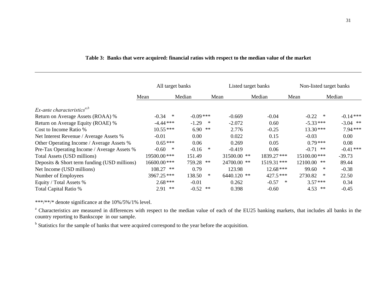|                                                  | All target banks |        |             |        | Listed target banks | Non-listed target banks |             |              |             |
|--------------------------------------------------|------------------|--------|-------------|--------|---------------------|-------------------------|-------------|--------------|-------------|
|                                                  | Mean             |        | Median      |        | Mean                | Median                  | Mean        |              | Median      |
| $Ex$ -ante characteristics <sup><i>a,b</i></sup> |                  |        |             |        |                     |                         |             |              |             |
| Return on Average Assets (ROAA) %                | $-0.34$          | $\ast$ | $-0.09$ *** |        | $-0.669$            | $-0.04$                 |             | $-0.22$<br>∗ | $-0.14***$  |
| Return on Average Equity (ROAE) %                | $-4.44$ ***      |        | $-1.29$     | $\ast$ | $-2.072$            | 0.60                    |             | $-5.33***$   | $-3.04$ **  |
| Cost to Income Ratio %                           | $10.55***$       |        | $6.90$ **   |        | 2.776               | $-0.25$                 |             | $13.30***$   | $7.94***$   |
| Net Interest Revenue / Average Assets %          | $-0.01$          |        | 0.00        |        | 0.022               | 0.15                    | $-0.03$     |              | 0.00        |
| Other Operating Income / Average Assets %        | $0.65***$        |        | 0.06        |        | 0.269               | 0.05                    |             | $0.79***$    | 0.08        |
| Pre-Tax Operating Income / Average Assets %      | $-0.60$          | $\ast$ | $-0.16$     | $\ast$ | $-0.419$            | 0.06                    |             | $-0.71$ **   | $-0.41$ *** |
| Total Assets (USD millions)                      | 19500.00***      |        | 151.49      |        | 31500.00 **         | 1839.27***              | 15100.00*** |              | $-39.73$    |
| Deposits $& Short term funding (USD millions)$   | 16600.00***      |        | 759.28      | **     | 24700.00 **         | 1519.31***              | 12100.00 ** |              | 89.44       |
| Net Income (USD millions)                        | 108.27 **        |        | 0.79        |        | 123.98              | $12.68$ ***             | 99.60       | ∗            | $-0.38$     |
| Number of Employees                              | 3967.25***       |        | 138.50      | $\ast$ | 6440.120 **         | $427.5***$              | 2730.82     | ∗            | 22.50       |
| Equity / Total Assets %                          | $2.68***$        |        | $-0.01$     |        | 0.262               | $-0.57$                 | $\ast$      | $3.57***$    | 0.34        |
| Total Capital Ratio %                            | $2.91$ **        |        | $-0.52$ **  |        | 0.398               | $-0.60$                 |             | $4.53$ **    | $-0.45$     |

# **Table 3: Banks that were acquired: financial ratios with respect to the median value of the market**

\*\*\*/\*\*/\* denote significance at the 10%/5%/1% level.

<sup>a</sup> Characteristics are measured in differences with respect to the median value of each of the EU25 banking markets, that includes all banks in the country reporting to Bankscope in our sample.

<sup>b</sup> Statistics for the sample of banks that were acquired correspond to the year before the acquisition.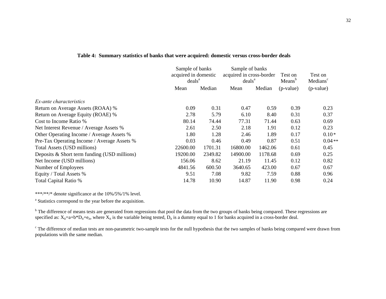|                                              | Sample of banks<br>acquired in domestic<br>deals <sup>a</sup> |         | Sample of banks<br>acquired in cross-border<br>deals <sup>a</sup> |         | Test on<br>Means <sup>b</sup> | Test on<br>Medians <sup>c</sup> |
|----------------------------------------------|---------------------------------------------------------------|---------|-------------------------------------------------------------------|---------|-------------------------------|---------------------------------|
|                                              | Mean                                                          | Median  | Mean                                                              | Median  | $(p-value)$                   | $(p-value)$                     |
| Ex-ante characteristics                      |                                                               |         |                                                                   |         |                               |                                 |
| Return on Average Assets (ROAA) %            | 0.09                                                          | 0.31    | 0.47                                                              | 0.59    | 0.39                          | 0.23                            |
| Return on Average Equity (ROAE) %            | 2.78                                                          | 5.79    | 6.10                                                              | 8.40    | 0.31                          | 0.37                            |
| Cost to Income Ratio %                       | 80.14                                                         | 74.44   | 77.31                                                             | 71.44   | 0.63                          | 0.69                            |
| Net Interest Revenue / Average Assets %      | 2.61                                                          | 2.50    | 2.18                                                              | 1.91    | 0.12                          | 0.23                            |
| Other Operating Income / Average Assets %    | 1.80                                                          | 1.28    | 2.46                                                              | 1.89    | 0.17                          | $0.10*$                         |
| Pre-Tax Operating Income / Average Assets %  | 0.03                                                          | 0.46    | 0.49                                                              | 0.87    | 0.51                          | $0.04**$                        |
| Total Assets (USD millions)                  | 22600.00                                                      | 1701.31 | 16800.00                                                          | 1462.06 | 0.61                          | 0.45                            |
| Deposits & Short term funding (USD millions) | 19200.00                                                      | 2349.82 | 14900.00                                                          | 1178.68 | 0.69                          | 0.25                            |
| Net Income (USD millions)                    | 156.06                                                        | 8.62    | 21.19                                                             | 11.45   | 0.12                          | 0.82                            |
| Number of Employees                          | 4841.56                                                       | 600.50  | 3640.65                                                           | 423.00  | 0.67                          | 0.67                            |
| Equity / Total Assets %                      | 9.51                                                          | 7.08    | 9.82                                                              | 7.59    | 0.88                          | 0.96                            |
| Total Capital Ratio %                        | 14.78                                                         | 10.90   | 14.87                                                             | 11.90   | 0.98                          | 0.24                            |

#### **Table 4: Summary statistics of banks that were acquired: domestic versus cross-border deals**

\*\*\*/\*\*/\* denote significance at the 10%/5%/1% level.

<sup>a</sup> Statistics correspond to the year before the acquisition.

<sup>b</sup> The difference of means tests are generated from regressions that pool the data from the two groups of banks being compared. These regressions are specified as:  $X_{it}=a+b*D_{it}+e_{it}$ , where  $X_{it}$  is the variable being tested,  $D_{it}$  is a dummy equal to 1 for banks acquired in a cross-border deal.

<sup>c</sup> The difference of median tests are non-parametric two-sample tests for the null hypothesis that the two samples of banks being compared were drawn from populations with the same median.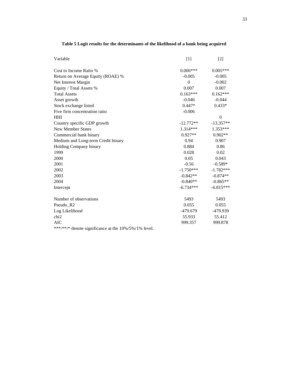| Variable                                             | [1]         | $\lceil 2 \rceil$ |
|------------------------------------------------------|-------------|-------------------|
| Cost to Income Ratio %                               | $0.006***$  | $0.005***$        |
| Return on Average Equity (ROAE) %                    | $-0.005$    | $-0.005$          |
| Net Interest Margin                                  | $\Omega$    | $-0.002$          |
| Equity / Total Assets %                              | 0.007       | 0.007             |
| <b>Total Assets</b>                                  | $0.163***$  | $0.162***$        |
| Asset growth                                         | $-0.046$    | $-0.044$          |
| Stock exchange listed                                | $0.447*$    | $0.433*$          |
| Five firm concentration ratio                        | $-0.006$    |                   |
| <b>HHI</b>                                           |             | $\overline{0}$    |
| Country specific GDP growth                          | $-12.772**$ | $-13.357**$       |
| <b>New Member States</b>                             | $1.314***$  | $1.353***$        |
| Commercial bank binary                               | $0.927**$   | $0.902**$         |
| Medium and Long-term Credit binary                   | 0.94        | 0.907             |
| Holding Company binary                               | 0.884       | 0.86              |
| 1999                                                 | 0.028       | 0.02              |
| 2000                                                 | 0.05        | 0.043             |
| 2001                                                 | $-0.56$     | $-0.589*$         |
| 2002                                                 | $-1.750***$ | $-1.782***$       |
| 2003                                                 | $-0.842**$  | $-0.874**$        |
| 2004                                                 | $-0.840**$  | $-0.865**$        |
| Intercept                                            | $-6.734***$ | $-6.815***$       |
| Number of observations                               | 5493        | 5493              |
| Pseudo_R2                                            | 0.055       | 0.055             |
| Log Likelihood                                       | -479.679    | -479.939          |
| chi <sub>2</sub>                                     | 55.933      | 55.412            |
| <b>AIC</b>                                           | 999.357     | 999.878           |
| ***/**/* denote significance at the 10%/5%/1% level. |             |                   |

# **Table 5 Logit results for the determinants of the likelihood of a bank being acquired**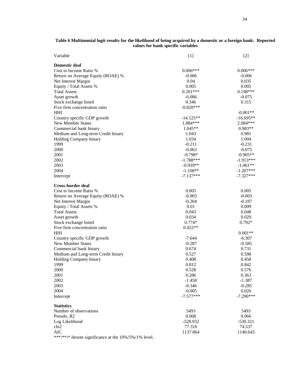| Table 6 Multinomial logit results for the likelihood of being acquired by a domestic or a foreign bank: Reported |  |
|------------------------------------------------------------------------------------------------------------------|--|
| values for bank specific variables                                                                               |  |

| Variable                           | $[1]$       | $[2]$       |
|------------------------------------|-------------|-------------|
| <b>Domestic deal</b>               |             |             |
| Cost to Income Ratio %             | $0.006***$  | $0.006***$  |
| Return on Average Equity (ROAE) %  | $-0.006$    | $-0.006$    |
| Net Interest Margin                | 0.04        | 0.035       |
| Equity / Total Assets %            | 0.005       | 0.005       |
| <b>Total Assets</b>                | $0.201***$  | $0.198***$  |
| Asset growth                       | $-0.086$    | $-0.075$    |
| Stock exchange listed              | 0.346       | 0.315       |
| Five firm concentration ratio      | $-0.020***$ |             |
| HHI                                |             | $-0.001**$  |
| Country specific GDP growth        | $-14.125**$ | $-16.695**$ |
| <b>New Member States</b>           | 1.884 ***   | $2.084***$  |
| Commercial bank binary             | $1.045**$   | $0.983**$   |
| Medium and Long-term Credit binary | 1.043       | 0.981       |
| Holding Company binary             | 1.034       | 1.004       |
| 1999                               | $-0.211$    | $-0.231$    |
| 2000                               | $-0.063$    | $-0.075$    |
| 2001                               | $-0.798*$   | $-0.905**$  |
| 2002                               | $-1.788***$ | $-1.913***$ |
| 2003                               | $-0.939**$  | $-1.061**$  |
| 2004                               | $-1.108**$  | $-1.207***$ |
|                                    | $-7.137***$ | $-7.327***$ |
| Intercept                          |             |             |
| Cross-border deal                  |             |             |
| Cost to Income Ratio %             | 0.005       | 0.005       |
| Return on Average Equity (ROAE) %  | $-0.003$    | $-0.003$    |
| Net Interest Margin                | $-0.204$    | -0.187      |
| Equity / Total Assets %            | 0.01        | 0.009       |
| <b>Total Assets</b>                | 0.043       | 0.048       |
| Asset growth                       | 0.034       | 0.029       |
| Stock exchange listed              | $0.774*$    | $0.792*$    |
| Five firm concentration ratio      | $0.022**$   |             |
| HHI                                |             | $0.001**$   |
| Country specific GDP growth        | -7.644      | -6.307      |
| <b>New Member States</b>           | $-0.287$    | $-0.585$    |
| Commercial bank binary             | 0.674       | 0.731       |
| Medium and Long-term Credit binary | 0.527       | 0.598       |
| Holding Company binary             | 0.408       | 0.458       |
| 1999                               | 0.812       | 0.842       |
| 2000                               | 0.528       | 0.576       |
| 2001                               | 0.286       | 0.363       |
| 2002                               | $-1.458$    | $-1.387$    |
| 2003                               | $-0.346$    | $-0.285$    |
| 2004                               | $-0.005$    | 0.026       |
| Intercept                          | $-7.577***$ | $-7.290***$ |
|                                    |             |             |
| <b>Statistics</b>                  |             |             |
| Number of observations             | 5493        | 5493        |
| Pseudo_R2                          | 0.068       | 0.066       |
| Log Likelihood                     | $-528.932$  | $-530.321$  |
| chi <sub>2</sub>                   | 77.316      | 74.537      |
| <b>AIC</b>                         | 1137.864    | 1140.643    |

\*\*\*/\*\*/\* denote significance at the 10%/5%/1% level.